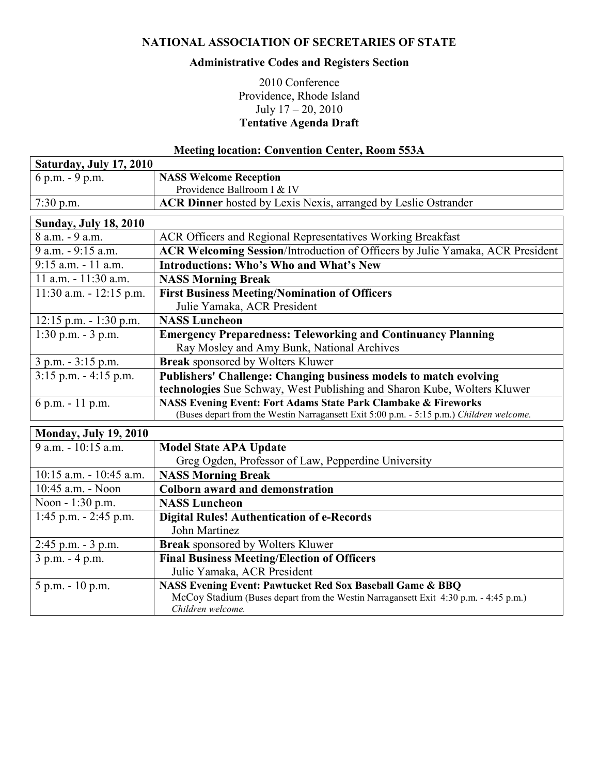## **NATIONAL ASSOCIATION OF SECRETARIES OF STATE**

## **Administrative Codes and Registers Section**

## 2010 Conference Providence, Rhode Island July 17 – 20, 2010 **Tentative Agenda Draft**

## **Meeting location: Convention Center, Room 553A**

| Saturday, July 17, 2010      |                                                                                          |
|------------------------------|------------------------------------------------------------------------------------------|
| 6 p.m. - 9 p.m.              | <b>NASS Welcome Reception</b>                                                            |
|                              | Providence Ballroom I & IV                                                               |
| $7:30$ p.m.                  | <b>ACR Dinner</b> hosted by Lexis Nexis, arranged by Leslie Ostrander                    |
| <b>Sunday, July 18, 2010</b> |                                                                                          |
| 8 a.m. - 9 a.m.              | ACR Officers and Regional Representatives Working Breakfast                              |
| 9 a.m. - 9:15 a.m.           | ACR Welcoming Session/Introduction of Officers by Julie Yamaka, ACR President            |
| 9:15 a.m. - 11 a.m.          | <b>Introductions: Who's Who and What's New</b>                                           |
| 11 a.m. - 11:30 a.m.         | <b>NASS Morning Break</b>                                                                |
| $11:30$ a.m. $-12:15$ p.m.   | <b>First Business Meeting/Nomination of Officers</b>                                     |
|                              | Julie Yamaka, ACR President                                                              |
| $12:15$ p.m. - 1:30 p.m.     | <b>NASS Luncheon</b>                                                                     |
| $1:30$ p.m. $-3$ p.m.        | <b>Emergency Preparedness: Teleworking and Continuancy Planning</b>                      |
|                              | Ray Mosley and Amy Bunk, National Archives                                               |
| 3 p.m. - 3:15 p.m.           | <b>Break</b> sponsored by Wolters Kluwer                                                 |
| $3:15$ p.m. $-4:15$ p.m.     | Publishers' Challenge: Changing business models to match evolving                        |
|                              | technologies Sue Schway, West Publishing and Sharon Kube, Wolters Kluwer                 |
| 6 p.m. - 11 p.m.             | <b>NASS Evening Event: Fort Adams State Park Clambake &amp; Fireworks</b>                |
|                              | (Buses depart from the Westin Narragansett Exit 5:00 p.m. - 5:15 p.m.) Children welcome. |
| <b>Monday, July 19, 2010</b> |                                                                                          |
| 9 a.m. - 10:15 a.m.          | <b>Model State APA Update</b>                                                            |
|                              | Greg Ogden, Professor of Law, Pepperdine University                                      |
| 10:15 a.m. - 10:45 a.m.      | <b>NASS Morning Break</b>                                                                |
| 10:45 a.m. - Noon            | <b>Colborn award and demonstration</b>                                                   |
| Noon - 1:30 p.m.             | <b>NASS Luncheon</b>                                                                     |
| $1:45$ p.m. $-2:45$ p.m.     | <b>Digital Rules! Authentication of e-Records</b>                                        |
|                              | John Martinez                                                                            |
| 2:45 p.m. - 3 p.m.           | Break sponsored by Wolters Kluwer                                                        |
| 3 p.m. - 4 p.m.              | <b>Final Business Meeting/Election of Officers</b>                                       |
|                              | Julie Yamaka, ACR President                                                              |
| 5 p.m. - 10 p.m.             | <b>NASS Evening Event: Pawtucket Red Sox Baseball Game &amp; BBQ</b>                     |
|                              | McCoy Stadium (Buses depart from the Westin Narragansett Exit 4:30 p.m. - 4:45 p.m.)     |
|                              | Children welcome.                                                                        |